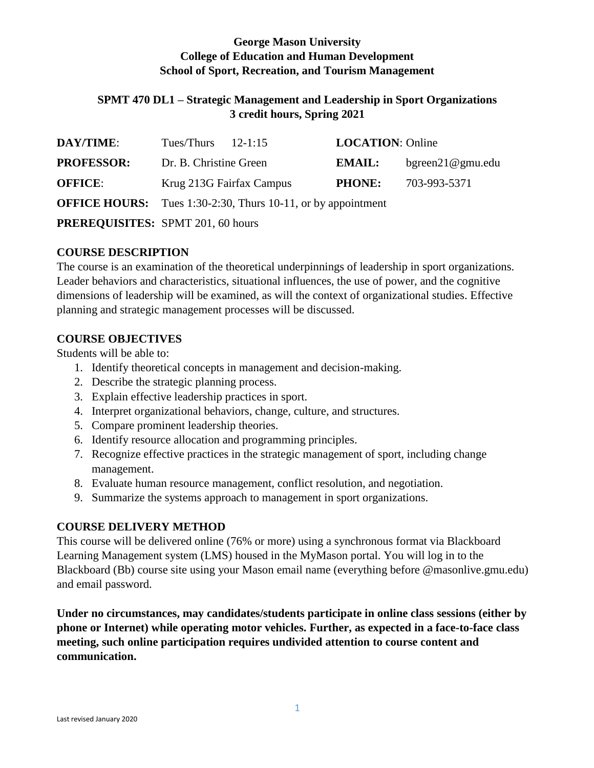## **George Mason University College of Education and Human Development School of Sport, Recreation, and Tourism Management**

## **SPMT 470 DL1 – Strategic Management and Leadership in Sport Organizations 3 credit hours, Spring 2021**

| <b>DAY/TIME:</b>                         | Tues/Thurs $12-1:15$                                                |  | <b>LOCATION: Online</b> |                     |
|------------------------------------------|---------------------------------------------------------------------|--|-------------------------|---------------------|
| <b>PROFESSOR:</b>                        | Dr. B. Christine Green                                              |  | <b>EMAIL:</b>           | $b$ green21@gmu.edu |
| <b>OFFICE:</b>                           | Krug 213G Fairfax Campus                                            |  | <b>PHONE:</b>           | 703-993-5371        |
|                                          | <b>OFFICE HOURS:</b> Tues 1:30-2:30, Thurs 10-11, or by appointment |  |                         |                     |
| <b>PREREQUISITES:</b> SPMT 201, 60 hours |                                                                     |  |                         |                     |

## **COURSE DESCRIPTION**

The course is an examination of the theoretical underpinnings of leadership in sport organizations. Leader behaviors and characteristics, situational influences, the use of power, and the cognitive dimensions of leadership will be examined, as will the context of organizational studies. Effective planning and strategic management processes will be discussed.

## **COURSE OBJECTIVES**

Students will be able to:

- 1. Identify theoretical concepts in management and decision-making.
- 2. Describe the strategic planning process.
- 3. Explain effective leadership practices in sport.
- 4. Interpret organizational behaviors, change, culture, and structures.
- 5. Compare prominent leadership theories.
- 6. Identify resource allocation and programming principles.
- 7. Recognize effective practices in the strategic management of sport, including change management.
- 8. Evaluate human resource management, conflict resolution, and negotiation.
- 9. Summarize the systems approach to management in sport organizations.

## **COURSE DELIVERY METHOD**

This course will be delivered online (76% or more) using a synchronous format via Blackboard Learning Management system (LMS) housed in the MyMason portal. You will log in to the Blackboard (Bb) course site using your Mason email name (everything before @masonlive.gmu.edu) and email password.

**Under no circumstances, may candidates/students participate in online class sessions (either by phone or Internet) while operating motor vehicles. Further, as expected in a face-to-face class meeting, such online participation requires undivided attention to course content and communication.**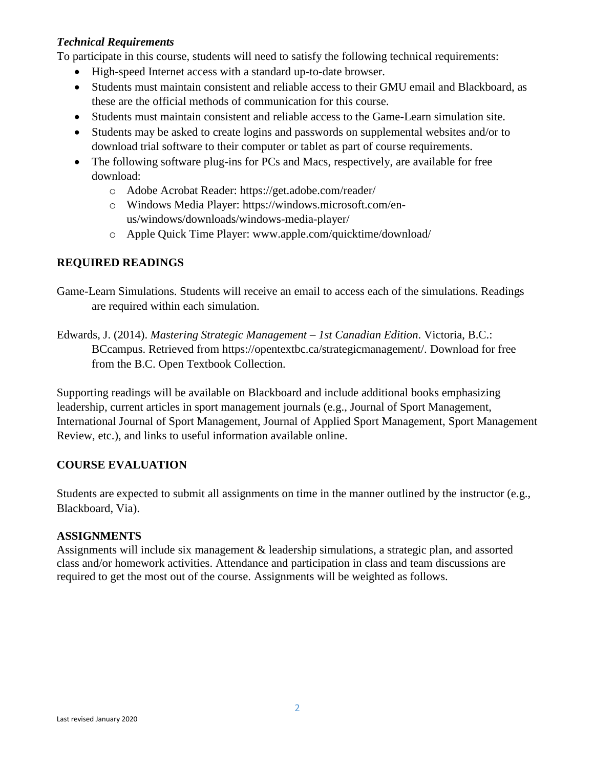### *Technical Requirements*

To participate in this course, students will need to satisfy the following technical requirements:

- High-speed Internet access with a standard up-to-date browser.
- Students must maintain consistent and reliable access to their GMU email and Blackboard, as these are the official methods of communication for this course.
- Students must maintain consistent and reliable access to the Game-Learn simulation site.
- Students may be asked to create logins and passwords on supplemental websites and/or to download trial software to their computer or tablet as part of course requirements.
- The following software plug-ins for PCs and Macs, respectively, are available for free download:
	- o Adobe Acrobat Reader: https://get.adobe.com/reader/
	- o Windows Media Player: https://windows.microsoft.com/enus/windows/downloads/windows-media-player/
	- o Apple Quick Time Player: www.apple.com/quicktime/download/

### **REQUIRED READINGS**

Game-Learn Simulations. Students will receive an email to access each of the simulations. Readings are required within each simulation.

Edwards, J. (2014). *Mastering Strategic Management – 1st Canadian Edition*. Victoria, B.C.: BCcampus. Retrieved from https://opentextbc.ca/strategicmanagement/. Download for free from the B.C. Open Textbook Collection.

Supporting readings will be available on Blackboard and include additional books emphasizing leadership, current articles in sport management journals (e.g., Journal of Sport Management, International Journal of Sport Management, Journal of Applied Sport Management, Sport Management Review, etc.), and links to useful information available online.

### **COURSE EVALUATION**

Students are expected to submit all assignments on time in the manner outlined by the instructor (e.g., Blackboard, Via).

### **ASSIGNMENTS**

Assignments will include six management & leadership simulations, a strategic plan, and assorted class and/or homework activities. Attendance and participation in class and team discussions are required to get the most out of the course. Assignments will be weighted as follows.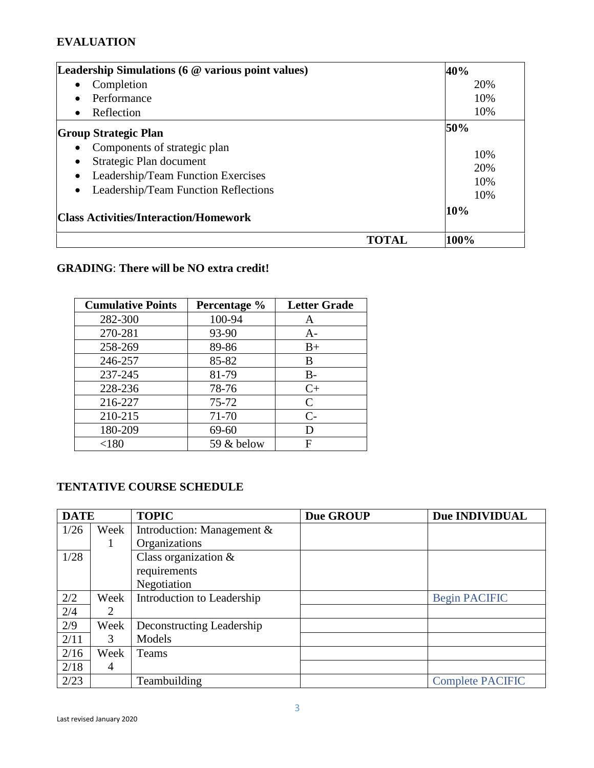## **EVALUATION**

| Leadership Simulations (6 @ various point values)                                                                                                                            | 40%                      |
|------------------------------------------------------------------------------------------------------------------------------------------------------------------------------|--------------------------|
| Completion<br>$\bullet$                                                                                                                                                      | 20%                      |
| Performance<br>$\bullet$                                                                                                                                                     | 10%                      |
| Reflection<br>$\bullet$                                                                                                                                                      | 10%                      |
| <b>Group Strategic Plan</b>                                                                                                                                                  | 50%                      |
| Components of strategic plan<br>Strategic Plan document<br>$\bullet$<br>Leadership/Team Function Exercises<br>$\bullet$<br>Leadership/Team Function Reflections<br>$\bullet$ | 10%<br>20%<br>10%<br>10% |
| <b>Class Activities/Interaction/Homework</b>                                                                                                                                 | 10%                      |
|                                                                                                                                                                              | 100%                     |

# **GRADING**: **There will be NO extra credit!**

| <b>Cumulative Points</b> | Percentage % | <b>Letter Grade</b> |
|--------------------------|--------------|---------------------|
| 282-300                  | 100-94       | A                   |
| 270-281                  | 93-90        | $A-$                |
| 258-269                  | 89-86        | $B+$                |
| 246-257                  | 85-82        | В                   |
| 237-245                  | 81-79        | $B -$               |
| 228-236                  | 78-76        | $C+$                |
| 216-227                  | $75 - 72$    | $\mathsf{C}$        |
| 210-215                  | 71-70        | $C-$                |
| 180-209                  | 69-60        | D                   |
| < 180                    | 59 & below   | F                   |

# **TENTATIVE COURSE SCHEDULE**

| <b>DATE</b> |      | <b>TOPIC</b>               | Due GROUP | Due INDIVIDUAL          |
|-------------|------|----------------------------|-----------|-------------------------|
| 1/26        | Week | Introduction: Management & |           |                         |
|             | 1    | Organizations              |           |                         |
| 1/28        |      | Class organization &       |           |                         |
|             |      | requirements               |           |                         |
|             |      | Negotiation                |           |                         |
| 2/2         | Week | Introduction to Leadership |           | <b>Begin PACIFIC</b>    |
| 2/4         | 2    |                            |           |                         |
| 2/9         | Week | Deconstructing Leadership  |           |                         |
| 2/11        | 3    | Models                     |           |                         |
| 2/16        | Week | Teams                      |           |                         |
| 2/18        | 4    |                            |           |                         |
| 2/23        |      | Teambuilding               |           | <b>Complete PACIFIC</b> |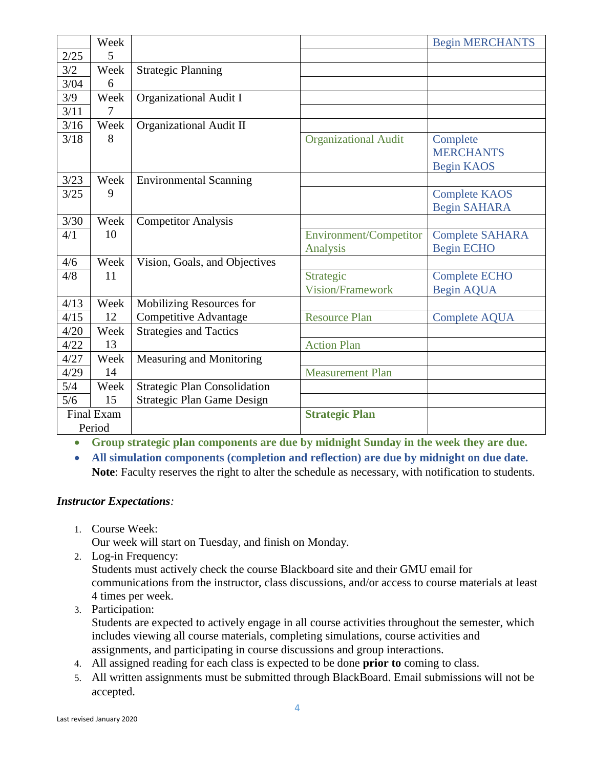|      | Week       |                                     |                             | <b>Begin MERCHANTS</b> |
|------|------------|-------------------------------------|-----------------------------|------------------------|
| 2/25 | 5          |                                     |                             |                        |
| 3/2  | Week       | <b>Strategic Planning</b>           |                             |                        |
| 3/04 | 6          |                                     |                             |                        |
| 3/9  | Week       | <b>Organizational Audit I</b>       |                             |                        |
| 3/11 | 7          |                                     |                             |                        |
| 3/16 | Week       | <b>Organizational Audit II</b>      |                             |                        |
| 3/18 | 8          |                                     | <b>Organizational Audit</b> | Complete               |
|      |            |                                     |                             | <b>MERCHANTS</b>       |
|      |            |                                     |                             | <b>Begin KAOS</b>      |
| 3/23 | Week       | <b>Environmental Scanning</b>       |                             |                        |
| 3/25 | 9          |                                     |                             | <b>Complete KAOS</b>   |
|      |            |                                     |                             | <b>Begin SAHARA</b>    |
| 3/30 | Week       | <b>Competitor Analysis</b>          |                             |                        |
| 4/1  | 10         |                                     | Environment/Competitor      | <b>Complete SAHARA</b> |
|      |            |                                     | Analysis                    | <b>Begin ECHO</b>      |
| 4/6  | Week       | Vision, Goals, and Objectives       |                             |                        |
| 4/8  | 11         |                                     | Strategic                   | <b>Complete ECHO</b>   |
|      |            |                                     | <b>Vision/Framework</b>     | <b>Begin AQUA</b>      |
| 4/13 | Week       | Mobilizing Resources for            |                             |                        |
| 4/15 | 12         | <b>Competitive Advantage</b>        | <b>Resource Plan</b>        | <b>Complete AQUA</b>   |
| 4/20 | Week       | <b>Strategies and Tactics</b>       |                             |                        |
| 4/22 | 13         |                                     | <b>Action Plan</b>          |                        |
| 4/27 | Week       | Measuring and Monitoring            |                             |                        |
| 4/29 | 14         |                                     | <b>Measurement Plan</b>     |                        |
| 5/4  | Week       | <b>Strategic Plan Consolidation</b> |                             |                        |
| 5/6  | 15         | <b>Strategic Plan Game Design</b>   |                             |                        |
|      | Final Exam |                                     | <b>Strategic Plan</b>       |                        |
|      | Period     |                                     |                             |                        |

• **Group strategic plan components are due by midnight Sunday in the week they are due.**

• **All simulation components (completion and reflection) are due by midnight on due date. Note**: Faculty reserves the right to alter the schedule as necessary, with notification to students.

### *Instructor Expectations:*

1. Course Week:

Our week will start on Tuesday, and finish on Monday.

- 2. Log-in Frequency: Students must actively check the course Blackboard site and their GMU email for communications from the instructor, class discussions, and/or access to course materials at least 4 times per week.
- 3. Participation:

Students are expected to actively engage in all course activities throughout the semester, which includes viewing all course materials, completing simulations, course activities and assignments, and participating in course discussions and group interactions.

- 4. All assigned reading for each class is expected to be done **prior to** coming to class.
- 5. All written assignments must be submitted through BlackBoard. Email submissions will not be accepted.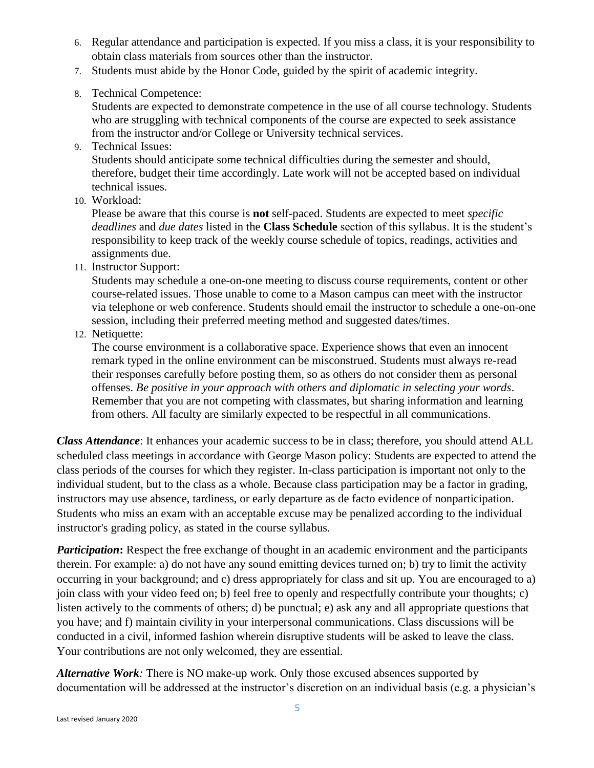- 6. Regular attendance and participation is expected. If you miss a class, it is your responsibility to obtain class materials from sources other than the instructor.
- 7. Students must abide by the Honor Code, guided by the spirit of academic integrity.
- 8. Technical Competence:

Students are expected to demonstrate competence in the use of all course technology. Students who are struggling with technical components of the course are expected to seek assistance from the instructor and/or College or University technical services.

9. Technical Issues:

Students should anticipate some technical difficulties during the semester and should, therefore, budget their time accordingly. Late work will not be accepted based on individual technical issues.

10. Workload:

Please be aware that this course is **not** self-paced. Students are expected to meet *specific deadlines* and *due dates* listed in the **Class Schedule** section of this syllabus. It is the student's responsibility to keep track of the weekly course schedule of topics, readings, activities and assignments due.

11. Instructor Support:

Students may schedule a one-on-one meeting to discuss course requirements, content or other course-related issues. Those unable to come to a Mason campus can meet with the instructor via telephone or web conference. Students should email the instructor to schedule a one-on-one session, including their preferred meeting method and suggested dates/times.

12. Netiquette:

The course environment is a collaborative space. Experience shows that even an innocent remark typed in the online environment can be misconstrued. Students must always re-read their responses carefully before posting them, so as others do not consider them as personal offenses. *Be positive in your approach with others and diplomatic in selecting your words*. Remember that you are not competing with classmates, but sharing information and learning from others. All faculty are similarly expected to be respectful in all communications.

*Class Attendance*: It enhances your academic success to be in class; therefore, you should attend ALL scheduled class meetings in accordance with George Mason policy: Students are expected to attend the class periods of the courses for which they register. In-class participation is important not only to the individual student, but to the class as a whole. Because class participation may be a factor in grading, instructors may use absence, tardiness, or early departure as de facto evidence of nonparticipation. Students who miss an exam with an acceptable excuse may be penalized according to the individual instructor's grading policy, as stated in the course syllabus.

*Participation*: Respect the free exchange of thought in an academic environment and the participants therein. For example: a) do not have any sound emitting devices turned on; b) try to limit the activity occurring in your background; and c) dress appropriately for class and sit up. You are encouraged to a) join class with your video feed on; b) feel free to openly and respectfully contribute your thoughts; c) listen actively to the comments of others; d) be punctual; e) ask any and all appropriate questions that you have; and f) maintain civility in your interpersonal communications. Class discussions will be conducted in a civil, informed fashion wherein disruptive students will be asked to leave the class. Your contributions are not only welcomed, they are essential.

*Alternative Work:* There is NO make-up work. Only those excused absences supported by documentation will be addressed at the instructor's discretion on an individual basis (e.g. a physician's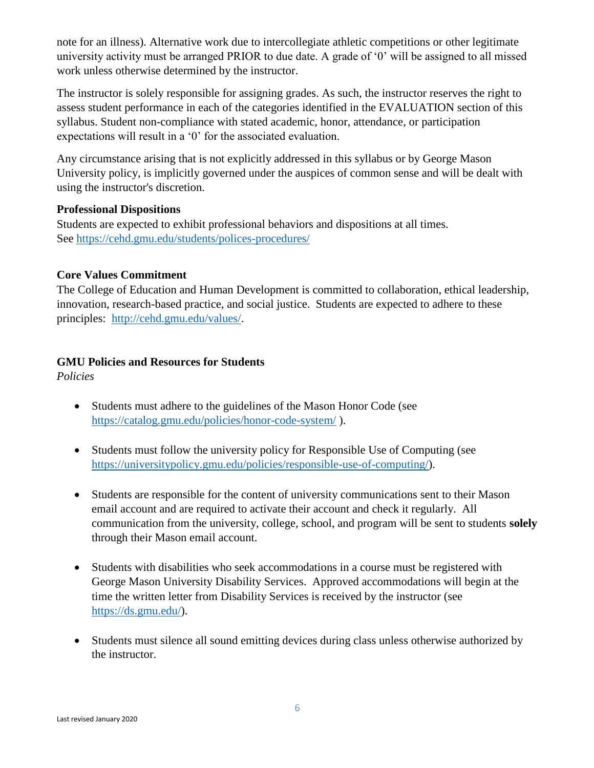note for an illness). Alternative work due to intercollegiate athletic competitions or other legitimate university activity must be arranged PRIOR to due date. A grade of '0' will be assigned to all missed work unless otherwise determined by the instructor.

The instructor is solely responsible for assigning grades. As such, the instructor reserves the right to assess student performance in each of the categories identified in the EVALUATION section of this syllabus. Student non-compliance with stated academic, honor, attendance, or participation expectations will result in a '0' for the associated evaluation.

Any circumstance arising that is not explicitly addressed in this syllabus or by George Mason University policy, is implicitly governed under the auspices of common sense and will be dealt with using the instructor's discretion.

### **Professional Dispositions**

Students are expected to exhibit professional behaviors and dispositions at all times. See<https://cehd.gmu.edu/students/polices-procedures/>

## **Core Values Commitment**

The College of Education and Human Development is committed to collaboration, ethical leadership, innovation, research-based practice, and social justice. Students are expected to adhere to these principles: [http://cehd.gmu.edu/values/.](http://cehd.gmu.edu/values/)

## **GMU Policies and Resources for Students**

*Policies*

- Students must adhere to the guidelines of the Mason Honor Code (see <https://catalog.gmu.edu/policies/honor-code-system/> ).
- Students must follow the university policy for Responsible Use of Computing (see [https://universitypolicy.gmu.edu/policies/responsible-use-of-computing/\)](https://universitypolicy.gmu.edu/policies/responsible-use-of-computing/).
- Students are responsible for the content of university communications sent to their Mason email account and are required to activate their account and check it regularly. All communication from the university, college, school, and program will be sent to students **solely** through their Mason email account.
- Students with disabilities who seek accommodations in a course must be registered with George Mason University Disability Services. Approved accommodations will begin at the time the written letter from Disability Services is received by the instructor (see [https://ds.gmu.edu/\)](https://ds.gmu.edu/).
- Students must silence all sound emitting devices during class unless otherwise authorized by the instructor.